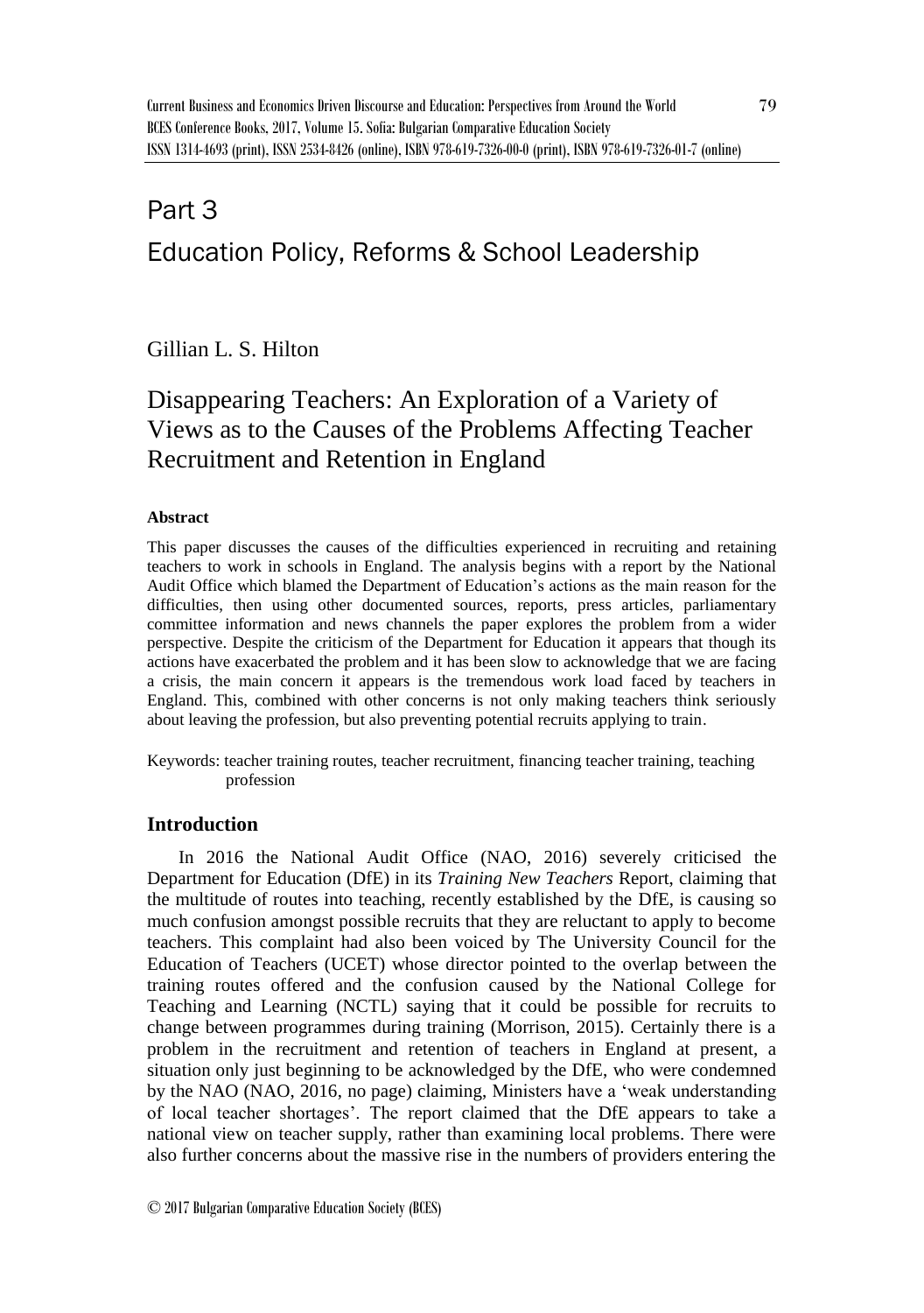# Part 3 Education Policy, Reforms & School Leadership

Gillian L. S. Hilton

# Disappearing Teachers: An Exploration of a Variety of Views as to the Causes of the Problems Affecting Teacher Recruitment and Retention in England

## **Abstract**

This paper discusses the causes of the difficulties experienced in recruiting and retaining teachers to work in schools in England. The analysis begins with a report by the National Audit Office which blamed the Department of Education's actions as the main reason for the difficulties, then using other documented sources, reports, press articles, parliamentary committee information and news channels the paper explores the problem from a wider perspective. Despite the criticism of the Department for Education it appears that though its actions have exacerbated the problem and it has been slow to acknowledge that we are facing a crisis, the main concern it appears is the tremendous work load faced by teachers in England. This, combined with other concerns is not only making teachers think seriously about leaving the profession, but also preventing potential recruits applying to train.

Keywords: teacher training routes, teacher recruitment, financing teacher training, teaching profession

# **Introduction**

In 2016 the National Audit Office (NAO, 2016) severely criticised the Department for Education (DfE) in its *Training New Teachers* Report, claiming that the multitude of routes into teaching, recently established by the DfE, is causing so much confusion amongst possible recruits that they are reluctant to apply to become teachers. This complaint had also been voiced by The University Council for the Education of Teachers (UCET) whose director pointed to the overlap between the training routes offered and the confusion caused by the National College for Teaching and Learning (NCTL) saying that it could be possible for recruits to change between programmes during training (Morrison, 2015). Certainly there is a problem in the recruitment and retention of teachers in England at present, a situation only just beginning to be acknowledged by the DfE, who were condemned by the NAO (NAO, 2016, no page) claiming, Ministers have a 'weak understanding of local teacher shortages'. The report claimed that the DfE appears to take a national view on teacher supply, rather than examining local problems. There were also further concerns about the massive rise in the numbers of providers entering the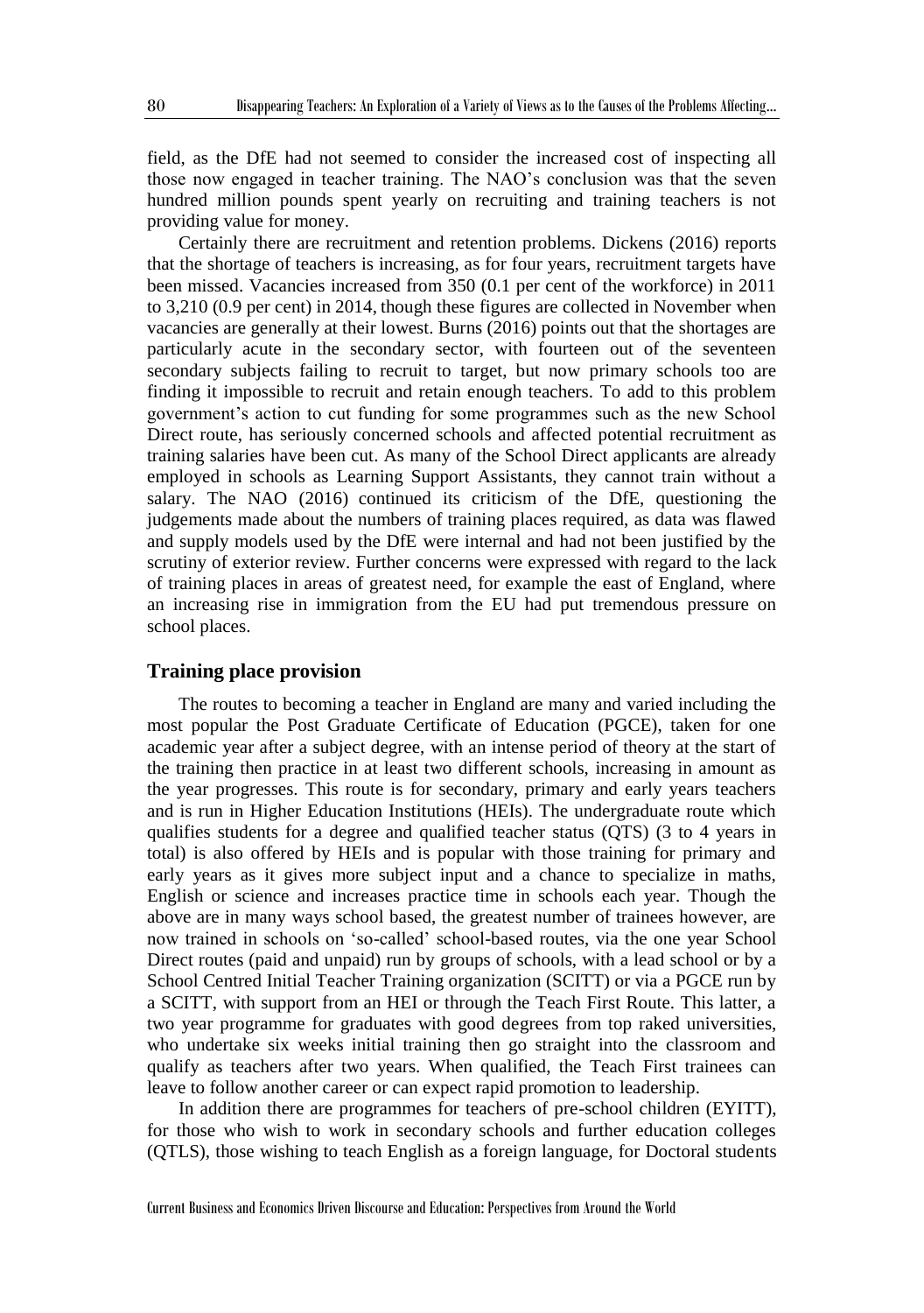field, as the DfE had not seemed to consider the increased cost of inspecting all those now engaged in teacher training. The NAO's conclusion was that the seven hundred million pounds spent yearly on recruiting and training teachers is not providing value for money.

Certainly there are recruitment and retention problems. Dickens (2016) reports that the shortage of teachers is increasing, as for four years, recruitment targets have been missed. Vacancies increased from 350 (0.1 per cent of the workforce) in 2011 to 3,210 (0.9 per cent) in 2014, though these figures are collected in November when vacancies are generally at their lowest. Burns (2016) points out that the shortages are particularly acute in the secondary sector, with fourteen out of the seventeen secondary subjects failing to recruit to target, but now primary schools too are finding it impossible to recruit and retain enough teachers. To add to this problem government's action to cut funding for some programmes such as the new School Direct route, has seriously concerned schools and affected potential recruitment as training salaries have been cut. As many of the School Direct applicants are already employed in schools as Learning Support Assistants, they cannot train without a salary. The NAO (2016) continued its criticism of the DfE, questioning the judgements made about the numbers of training places required, as data was flawed and supply models used by the DfE were internal and had not been justified by the scrutiny of exterior review. Further concerns were expressed with regard to the lack of training places in areas of greatest need, for example the east of England, where an increasing rise in immigration from the EU had put tremendous pressure on school places.

#### **Training place provision**

The routes to becoming a teacher in England are many and varied including the most popular the Post Graduate Certificate of Education (PGCE), taken for one academic year after a subject degree, with an intense period of theory at the start of the training then practice in at least two different schools, increasing in amount as the year progresses. This route is for secondary, primary and early years teachers and is run in Higher Education Institutions (HEIs). The undergraduate route which qualifies students for a degree and qualified teacher status (QTS) (3 to 4 years in total) is also offered by HEIs and is popular with those training for primary and early years as it gives more subject input and a chance to specialize in maths, English or science and increases practice time in schools each year. Though the above are in many ways school based, the greatest number of trainees however, are now trained in schools on 'so-called' school-based routes, via the one year School Direct routes (paid and unpaid) run by groups of schools, with a lead school or by a School Centred Initial Teacher Training organization (SCITT) or via a PGCE run by a SCITT, with support from an HEI or through the Teach First Route. This latter, a two year programme for graduates with good degrees from top raked universities, who undertake six weeks initial training then go straight into the classroom and qualify as teachers after two years. When qualified, the Teach First trainees can leave to follow another career or can expect rapid promotion to leadership.

In addition there are programmes for teachers of pre-school children (EYITT), for those who wish to work in secondary schools and further education colleges (QTLS), those wishing to teach English as a foreign language, for Doctoral students

Current Business and Economics Driven Discourse and Education: Perspectives from Around the World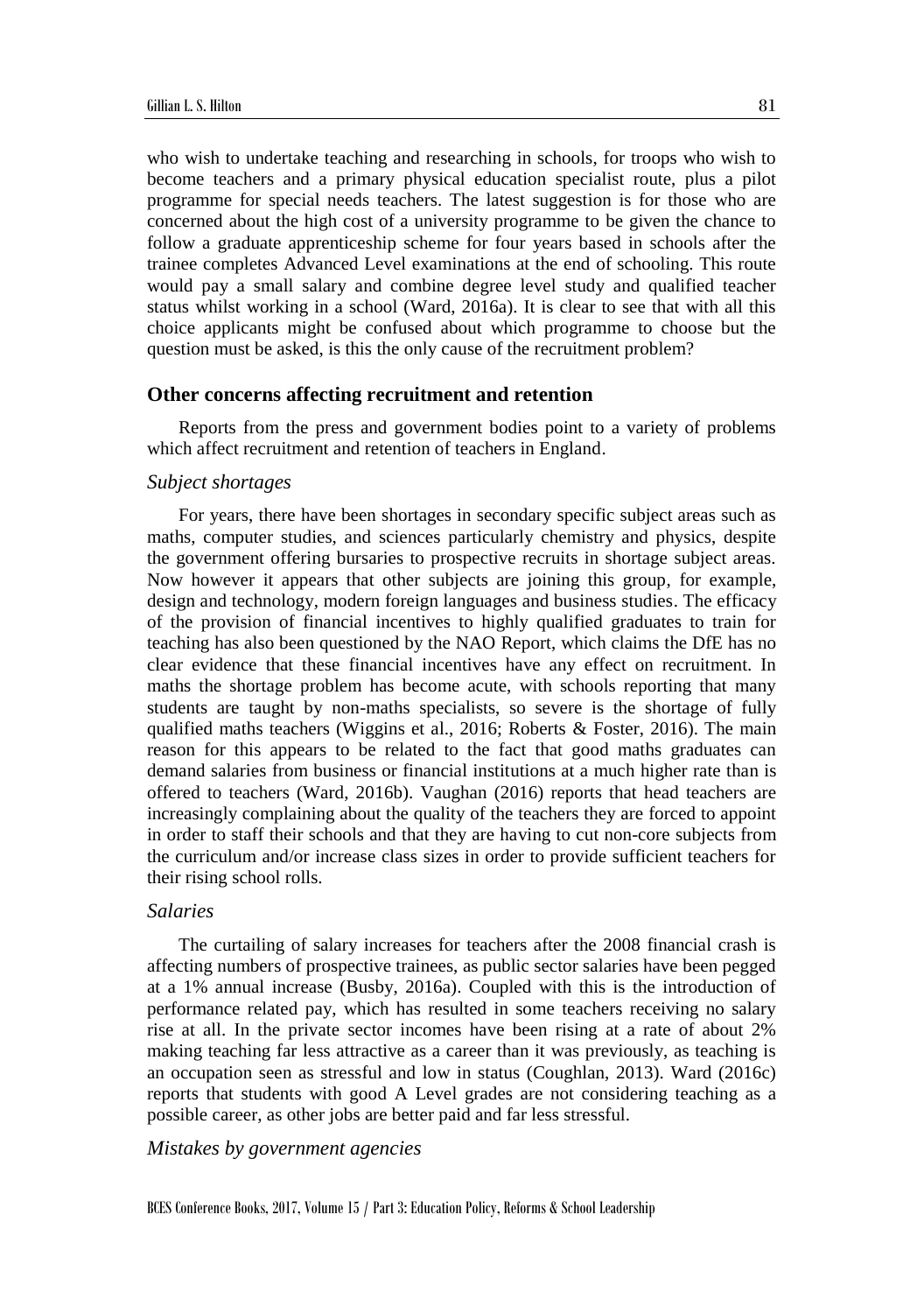who wish to undertake teaching and researching in schools, for troops who wish to become teachers and a primary physical education specialist route, plus a pilot programme for special needs teachers. The latest suggestion is for those who are concerned about the high cost of a university programme to be given the chance to follow a graduate apprenticeship scheme for four years based in schools after the trainee completes Advanced Level examinations at the end of schooling. This route would pay a small salary and combine degree level study and qualified teacher status whilst working in a school (Ward, 2016a). It is clear to see that with all this choice applicants might be confused about which programme to choose but the question must be asked, is this the only cause of the recruitment problem?

#### **Other concerns affecting recruitment and retention**

Reports from the press and government bodies point to a variety of problems which affect recruitment and retention of teachers in England.

#### *Subject shortages*

For years, there have been shortages in secondary specific subject areas such as maths, computer studies, and sciences particularly chemistry and physics, despite the government offering bursaries to prospective recruits in shortage subject areas. Now however it appears that other subjects are joining this group, for example, design and technology, modern foreign languages and business studies. The efficacy of the provision of financial incentives to highly qualified graduates to train for teaching has also been questioned by the NAO Report, which claims the DfE has no clear evidence that these financial incentives have any effect on recruitment. In maths the shortage problem has become acute, with schools reporting that many students are taught by non-maths specialists, so severe is the shortage of fully qualified maths teachers (Wiggins et al., 2016; Roberts & Foster, 2016). The main reason for this appears to be related to the fact that good maths graduates can demand salaries from business or financial institutions at a much higher rate than is offered to teachers (Ward, 2016b). Vaughan (2016) reports that head teachers are increasingly complaining about the quality of the teachers they are forced to appoint in order to staff their schools and that they are having to cut non-core subjects from the curriculum and/or increase class sizes in order to provide sufficient teachers for their rising school rolls.

#### *Salaries*

The curtailing of salary increases for teachers after the 2008 financial crash is affecting numbers of prospective trainees, as public sector salaries have been pegged at a 1% annual increase (Busby, 2016a). Coupled with this is the introduction of performance related pay, which has resulted in some teachers receiving no salary rise at all. In the private sector incomes have been rising at a rate of about 2% making teaching far less attractive as a career than it was previously, as teaching is an occupation seen as stressful and low in status (Coughlan, 2013). Ward (2016c) reports that students with good A Level grades are not considering teaching as a possible career, as other jobs are better paid and far less stressful.

*Mistakes by government agencies*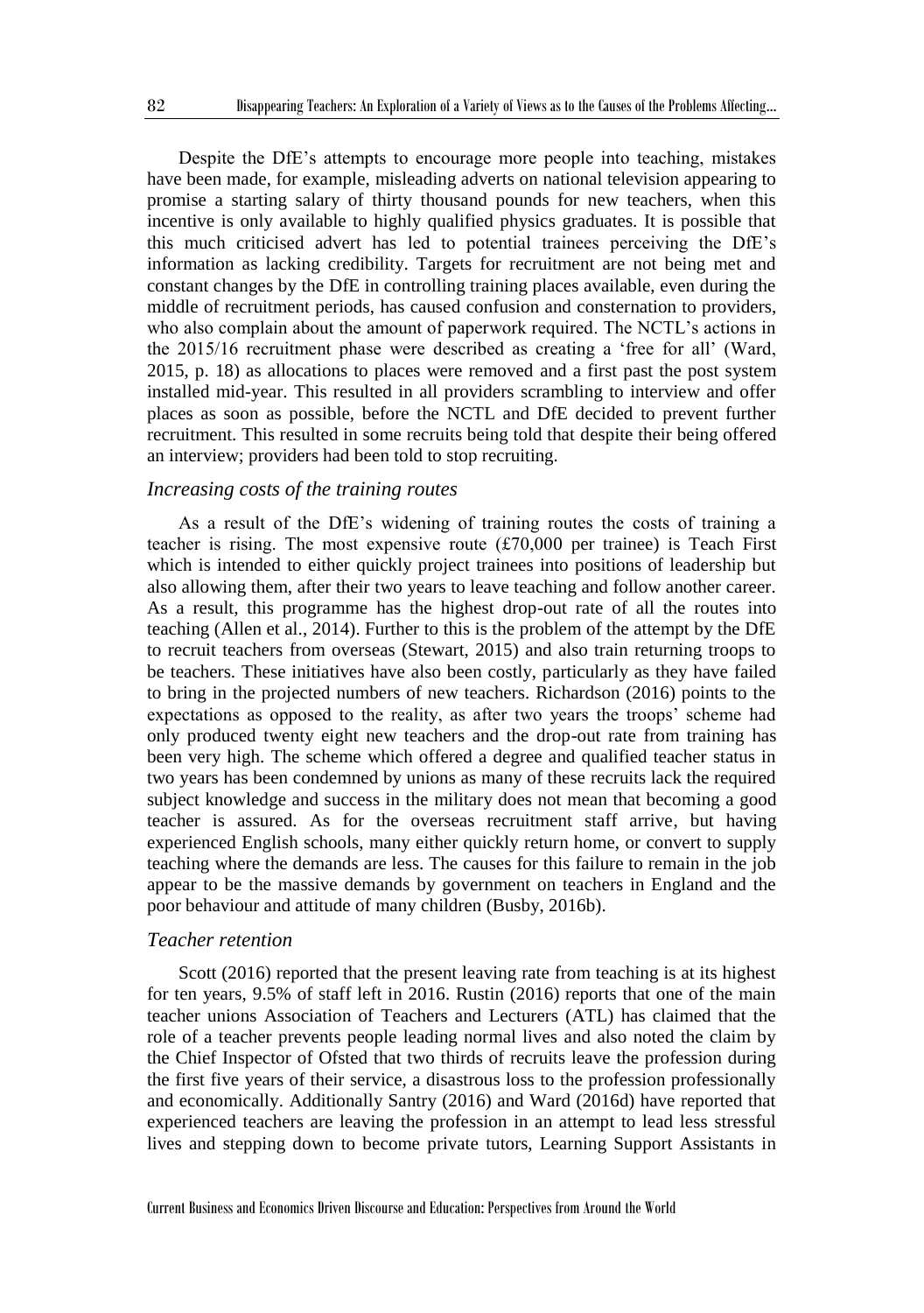Despite the DfE's attempts to encourage more people into teaching, mistakes have been made, for example, misleading adverts on national television appearing to promise a starting salary of thirty thousand pounds for new teachers, when this incentive is only available to highly qualified physics graduates. It is possible that this much criticised advert has led to potential trainees perceiving the DfE's information as lacking credibility. Targets for recruitment are not being met and constant changes by the DfE in controlling training places available, even during the middle of recruitment periods, has caused confusion and consternation to providers, who also complain about the amount of paperwork required. The NCTL's actions in the 2015/16 recruitment phase were described as creating a 'free for all' (Ward, 2015, p. 18) as allocations to places were removed and a first past the post system installed mid-year. This resulted in all providers scrambling to interview and offer places as soon as possible, before the NCTL and DfE decided to prevent further recruitment. This resulted in some recruits being told that despite their being offered an interview; providers had been told to stop recruiting.

#### *Increasing costs of the training routes*

As a result of the DfE's widening of training routes the costs of training a teacher is rising. The most expensive route  $(f70,000)$  per trainee) is Teach First which is intended to either quickly project trainees into positions of leadership but also allowing them, after their two years to leave teaching and follow another career. As a result, this programme has the highest drop-out rate of all the routes into teaching (Allen et al., 2014). Further to this is the problem of the attempt by the DfE to recruit teachers from overseas (Stewart, 2015) and also train returning troops to be teachers. These initiatives have also been costly, particularly as they have failed to bring in the projected numbers of new teachers. Richardson (2016) points to the expectations as opposed to the reality, as after two years the troops' scheme had only produced twenty eight new teachers and the drop-out rate from training has been very high. The scheme which offered a degree and qualified teacher status in two years has been condemned by unions as many of these recruits lack the required subject knowledge and success in the military does not mean that becoming a good teacher is assured. As for the overseas recruitment staff arrive, but having experienced English schools, many either quickly return home, or convert to supply teaching where the demands are less. The causes for this failure to remain in the job appear to be the massive demands by government on teachers in England and the poor behaviour and attitude of many children (Busby, 2016b).

#### *Teacher retention*

Scott (2016) reported that the present leaving rate from teaching is at its highest for ten years, 9.5% of staff left in 2016. Rustin (2016) reports that one of the main teacher unions Association of Teachers and Lecturers (ATL) has claimed that the role of a teacher prevents people leading normal lives and also noted the claim by the Chief Inspector of Ofsted that two thirds of recruits leave the profession during the first five years of their service, a disastrous loss to the profession professionally and economically. Additionally Santry (2016) and Ward (2016d) have reported that experienced teachers are leaving the profession in an attempt to lead less stressful lives and stepping down to become private tutors, Learning Support Assistants in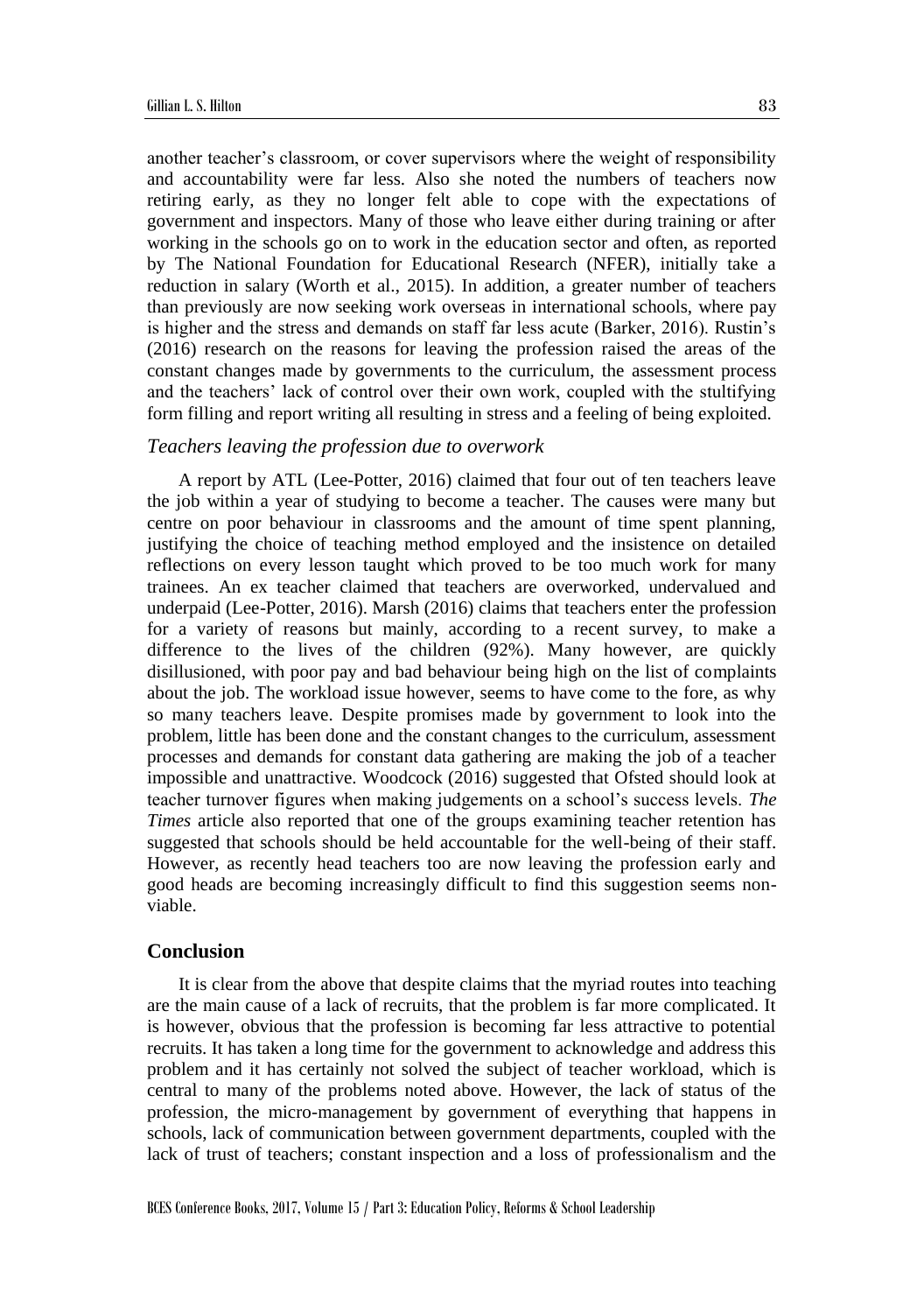another teacher's classroom, or cover supervisors where the weight of responsibility and accountability were far less. Also she noted the numbers of teachers now retiring early, as they no longer felt able to cope with the expectations of government and inspectors. Many of those who leave either during training or after working in the schools go on to work in the education sector and often, as reported by The National Foundation for Educational Research (NFER), initially take a reduction in salary (Worth et al., 2015). In addition, a greater number of teachers than previously are now seeking work overseas in international schools, where pay is higher and the stress and demands on staff far less acute (Barker, 2016). Rustin's (2016) research on the reasons for leaving the profession raised the areas of the constant changes made by governments to the curriculum, the assessment process and the teachers' lack of control over their own work, coupled with the stultifying form filling and report writing all resulting in stress and a feeling of being exploited.

#### *Teachers leaving the profession due to overwork*

A report by ATL (Lee-Potter, 2016) claimed that four out of ten teachers leave the job within a year of studying to become a teacher. The causes were many but centre on poor behaviour in classrooms and the amount of time spent planning, justifying the choice of teaching method employed and the insistence on detailed reflections on every lesson taught which proved to be too much work for many trainees. An ex teacher claimed that teachers are overworked, undervalued and underpaid (Lee-Potter, 2016). Marsh (2016) claims that teachers enter the profession for a variety of reasons but mainly, according to a recent survey, to make a difference to the lives of the children (92%). Many however, are quickly disillusioned, with poor pay and bad behaviour being high on the list of complaints about the job. The workload issue however, seems to have come to the fore, as why so many teachers leave. Despite promises made by government to look into the problem, little has been done and the constant changes to the curriculum, assessment processes and demands for constant data gathering are making the job of a teacher impossible and unattractive. Woodcock (2016) suggested that Ofsted should look at teacher turnover figures when making judgements on a school's success levels. *The Times* article also reported that one of the groups examining teacher retention has suggested that schools should be held accountable for the well-being of their staff. However, as recently head teachers too are now leaving the profession early and good heads are becoming increasingly difficult to find this suggestion seems nonviable.

# **Conclusion**

It is clear from the above that despite claims that the myriad routes into teaching are the main cause of a lack of recruits, that the problem is far more complicated. It is however, obvious that the profession is becoming far less attractive to potential recruits. It has taken a long time for the government to acknowledge and address this problem and it has certainly not solved the subject of teacher workload, which is central to many of the problems noted above. However, the lack of status of the profession, the micro-management by government of everything that happens in schools, lack of communication between government departments, coupled with the lack of trust of teachers; constant inspection and a loss of professionalism and the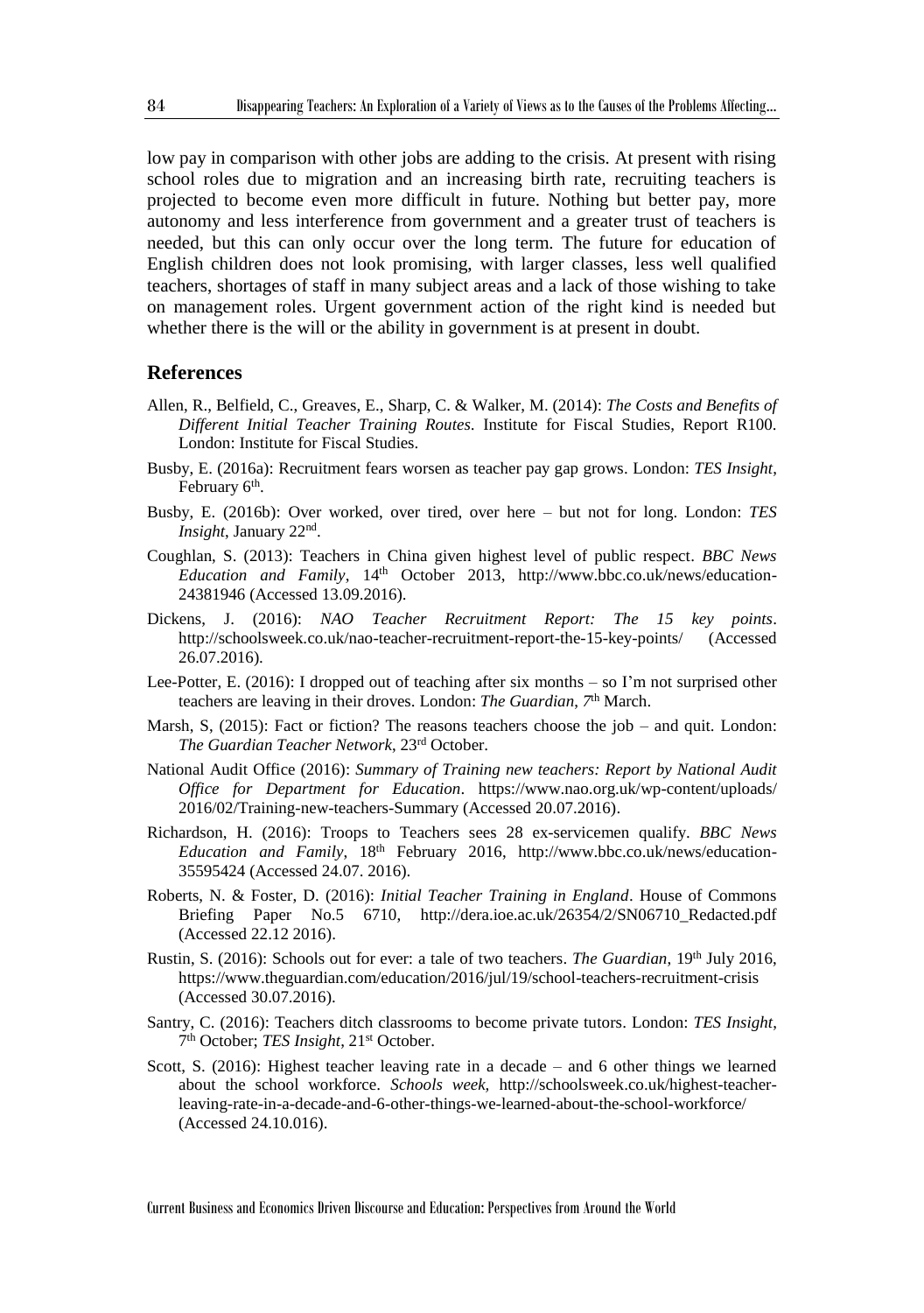low pay in comparison with other jobs are adding to the crisis. At present with rising school roles due to migration and an increasing birth rate, recruiting teachers is projected to become even more difficult in future. Nothing but better pay, more autonomy and less interference from government and a greater trust of teachers is needed, but this can only occur over the long term. The future for education of English children does not look promising, with larger classes, less well qualified teachers, shortages of staff in many subject areas and a lack of those wishing to take on management roles. Urgent government action of the right kind is needed but whether there is the will or the ability in government is at present in doubt.

#### **References**

- Allen, R., Belfield, C., Greaves, E., Sharp, C. & Walker, M. (2014): *The Costs and Benefits of Different Initial Teacher Training Routes.* Institute for Fiscal Studies, Report R100. London: Institute for Fiscal Studies.
- Busby, E. (2016a): Recruitment fears worsen as teacher pay gap grows. London: *TES Insight*, February 6<sup>th</sup>.
- Busby, E. (2016b): Over worked, over tired, over here but not for long. London: *TES Insight*, January 22nd .
- Coughlan, S. (2013): Teachers in China given highest level of public respect. *BBC News Education and Family*, 14<sup>th</sup> October 2013, http://www.bbc.co.uk/news/education-24381946 (Accessed 13.09.2016).
- Dickens, J. (2016): *NAO Teacher Recruitment Report: The 15 key points*. http://schoolsweek.co.uk/nao-teacher-recruitment-report-the-15-key-points/ (Accessed 26.07.2016).
- Lee-Potter, E. (2016): I dropped out of teaching after six months so I'm not surprised other teachers are leaving in their droves. London: *The Guardian*, 7<sup>th</sup> March.
- Marsh, S, (2015): Fact or fiction? The reasons teachers choose the job and quit. London: *The Guardian Teacher Network*, 23rd October.
- National Audit Office (2016): *Summary of Training new teachers: Report by National Audit Office for Department for Education*. https://www.nao.org.uk/wp-content/uploads/ 2016/02/Training-new-teachers-Summary (Accessed 20.07.2016).
- Richardson, H. (2016): Troops to Teachers sees 28 ex-servicemen qualify. *BBC News Education and Family*, 18th February 2016, http://www.bbc.co.uk/news/education-35595424 (Accessed 24.07. 2016).
- Roberts, N. & Foster, D. (2016): *Initial Teacher Training in England*. House of Commons Briefing Paper No.5 6710, http://dera.ioe.ac.uk/26354/2/SN06710\_Redacted.pdf (Accessed 22.12 2016).
- Rustin, S. (2016): Schools out for ever: a tale of two teachers. *The Guardian*, 19<sup>th</sup> July 2016, https://www.theguardian.com/education/2016/jul/19/school-teachers-recruitment-crisis (Accessed 30.07.2016).
- Santry, C. (2016): Teachers ditch classrooms to become private tutors. London: *TES Insight*, 7<sup>th</sup> October; *TES Insight*, 21<sup>st</sup> October.
- Scott, S. (2016): Highest teacher leaving rate in a decade and 6 other things we learned about the school workforce. *Schools week,* http://schoolsweek.co.uk/highest-teacherleaving-rate-in-a-decade-and-6-other-things-we-learned-about-the-school-workforce/ (Accessed 24.10.016).

Current Business and Economics Driven Discourse and Education: Perspectives from Around the World